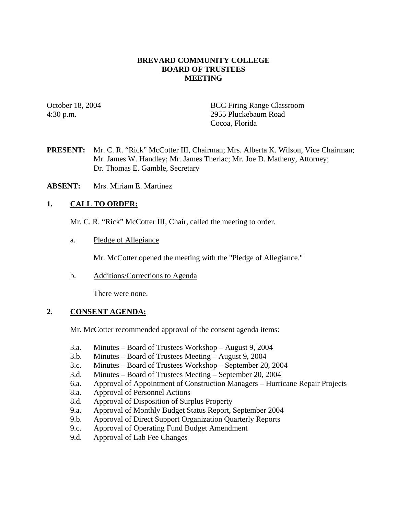### **BREVARD COMMUNITY COLLEGE BOARD OF TRUSTEES MEETING**

October 18, 2004 BCC Firing Range Classroom 4:30 p.m. 2955 Pluckebaum Road Cocoa, Florida

- **PRESENT:** Mr. C. R. "Rick" McCotter III, Chairman; Mrs. Alberta K. Wilson, Vice Chairman; Mr. James W. Handley; Mr. James Theriac; Mr. Joe D. Matheny, Attorney; Dr. Thomas E. Gamble, Secretary
- **ABSENT:** Mrs. Miriam E. Martinez

### **1. CALL TO ORDER:**

- Mr. C. R. "Rick" McCotter III, Chair, called the meeting to order.
- a. Pledge of Allegiance

Mr. McCotter opened the meeting with the "Pledge of Allegiance."

b. Additions/Corrections to Agenda

There were none.

### **2. CONSENT AGENDA:**

Mr. McCotter recommended approval of the consent agenda items:

- 3.a. Minutes Board of Trustees Workshop August 9, 2004
- 3.b. Minutes Board of Trustees Meeting August 9, 2004
- 3.c. Minutes Board of Trustees Workshop September 20, 2004
- 3.d. Minutes Board of Trustees Meeting September 20, 2004
- 6.a. Approval of Appointment of Construction Managers Hurricane Repair Projects
- 8.a. Approval of Personnel Actions
- 8.d. Approval of Disposition of Surplus Property
- 9.a. Approval of Monthly Budget Status Report, September 2004
- 9.b. Approval of Direct Support Organization Quarterly Reports
- 9.c. Approval of Operating Fund Budget Amendment
- 9.d. Approval of Lab Fee Changes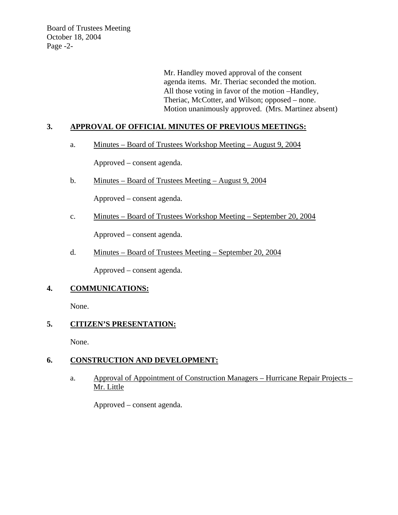Board of Trustees Meeting October 18, 2004 Page -2-

> Mr. Handley moved approval of the consent agenda items. Mr. Theriac seconded the motion. All those voting in favor of the motion –Handley, Theriac, McCotter, and Wilson; opposed – none. Motion unanimously approved. (Mrs. Martinez absent)

### **3. APPROVAL OF OFFICIAL MINUTES OF PREVIOUS MEETINGS:**

a. Minutes – Board of Trustees Workshop Meeting – August 9, 2004

Approved – consent agenda.

b. Minutes – Board of Trustees Meeting – August 9, 2004

Approved – consent agenda.

c. Minutes – Board of Trustees Workshop Meeting – September 20, 2004

Approved – consent agenda.

d. Minutes – Board of Trustees Meeting – September 20, 2004

Approved – consent agenda.

# **4. COMMUNICATIONS:**

None.

# **5. CITIZEN'S PRESENTATION:**

None.

# **6. CONSTRUCTION AND DEVELOPMENT:**

a. Approval of Appointment of Construction Managers – Hurricane Repair Projects – Mr. Little

Approved – consent agenda.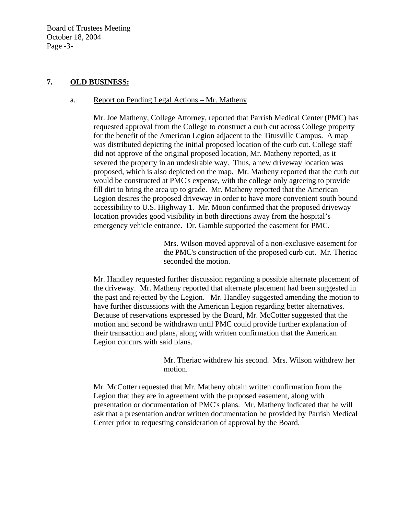Board of Trustees Meeting October 18, 2004 Page -3-

### **7. OLD BUSINESS:**

### a. Report on Pending Legal Actions – Mr. Matheny

Mr. Joe Matheny, College Attorney, reported that Parrish Medical Center (PMC) has requested approval from the College to construct a curb cut across College property for the benefit of the American Legion adjacent to the Titusville Campus. A map was distributed depicting the initial proposed location of the curb cut. College staff did not approve of the original proposed location, Mr. Matheny reported, as it severed the property in an undesirable way. Thus, a new driveway location was proposed, which is also depicted on the map. Mr. Matheny reported that the curb cut would be constructed at PMC's expense, with the college only agreeing to provide fill dirt to bring the area up to grade. Mr. Matheny reported that the American Legion desires the proposed driveway in order to have more convenient south bound accessibility to U.S. Highway 1. Mr. Moon confirmed that the proposed driveway location provides good visibility in both directions away from the hospital's emergency vehicle entrance. Dr. Gamble supported the easement for PMC.

> Mrs. Wilson moved approval of a non-exclusive easement for the PMC's construction of the proposed curb cut. Mr. Theriac seconded the motion.

Mr. Handley requested further discussion regarding a possible alternate placement of the driveway. Mr. Matheny reported that alternate placement had been suggested in the past and rejected by the Legion. Mr. Handley suggested amending the motion to have further discussions with the American Legion regarding better alternatives. Because of reservations expressed by the Board, Mr. McCotter suggested that the motion and second be withdrawn until PMC could provide further explanation of their transaction and plans, along with written confirmation that the American Legion concurs with said plans.

> Mr. Theriac withdrew his second. Mrs. Wilson withdrew her motion.

Mr. McCotter requested that Mr. Matheny obtain written confirmation from the Legion that they are in agreement with the proposed easement, along with presentation or documentation of PMC's plans. Mr. Matheny indicated that he will ask that a presentation and/or written documentation be provided by Parrish Medical Center prior to requesting consideration of approval by the Board.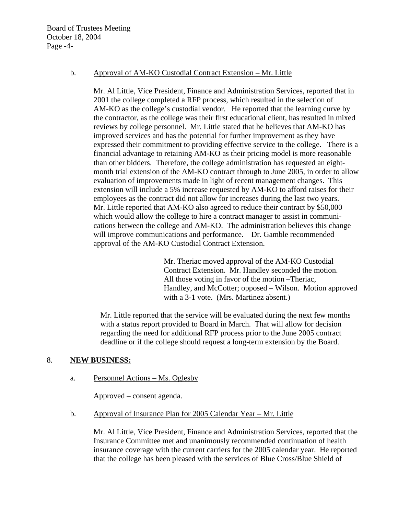Board of Trustees Meeting October 18, 2004 Page -4-

#### b. Approval of AM-KO Custodial Contract Extension – Mr. Little

Mr. Al Little, Vice President, Finance and Administration Services, reported that in 2001 the college completed a RFP process, which resulted in the selection of AM-KO as the college's custodial vendor. He reported that the learning curve by the contractor, as the college was their first educational client, has resulted in mixed reviews by college personnel. Mr. Little stated that he believes that AM-KO has improved services and has the potential for further improvement as they have expressed their commitment to providing effective service to the college. There is a financial advantage to retaining AM-KO as their pricing model is more reasonable than other bidders. Therefore, the college administration has requested an eightmonth trial extension of the AM-KO contract through to June 2005, in order to allow evaluation of improvements made in light of recent management changes. This extension will include a 5% increase requested by AM-KO to afford raises for their employees as the contract did not allow for increases during the last two years. Mr. Little reported that AM-KO also agreed to reduce their contract by \$50,000 which would allow the college to hire a contract manager to assist in communications between the college and AM-KO. The administration believes this change will improve communications and performance. Dr. Gamble recommended approval of the AM-KO Custodial Contract Extension.

> Mr. Theriac moved approval of the AM-KO Custodial Contract Extension. Mr. Handley seconded the motion. All those voting in favor of the motion –Theriac, Handley, and McCotter; opposed – Wilson. Motion approved with a 3-1 vote. (Mrs. Martinez absent.)

Mr. Little reported that the service will be evaluated during the next few months with a status report provided to Board in March. That will allow for decision regarding the need for additional RFP process prior to the June 2005 contract deadline or if the college should request a long-term extension by the Board.

# 8. **NEW BUSINESS:**

### a. Personnel Actions – Ms. Oglesby

Approved – consent agenda.

### b. Approval of Insurance Plan for 2005 Calendar Year – Mr. Little

Mr. Al Little, Vice President, Finance and Administration Services, reported that the Insurance Committee met and unanimously recommended continuation of health insurance coverage with the current carriers for the 2005 calendar year. He reported that the college has been pleased with the services of Blue Cross/Blue Shield of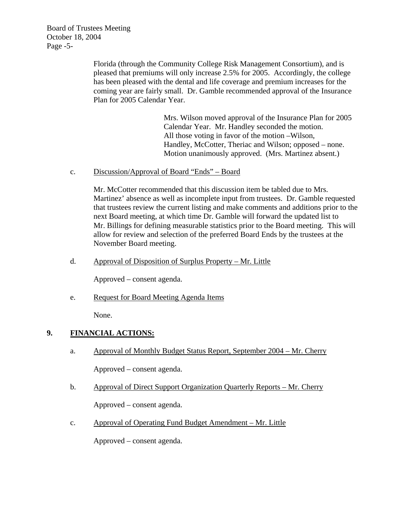Board of Trustees Meeting October 18, 2004 Page -5-

> Florida (through the Community College Risk Management Consortium), and is pleased that premiums will only increase 2.5% for 2005. Accordingly, the college has been pleased with the dental and life coverage and premium increases for the coming year are fairly small. Dr. Gamble recommended approval of the Insurance Plan for 2005 Calendar Year.

> > Mrs. Wilson moved approval of the Insurance Plan for 2005 Calendar Year. Mr. Handley seconded the motion. All those voting in favor of the motion –Wilson, Handley, McCotter, Theriac and Wilson; opposed – none. Motion unanimously approved. (Mrs. Martinez absent.)

### c. Discussion/Approval of Board "Ends" – Board

Mr. McCotter recommended that this discussion item be tabled due to Mrs. Martinez' absence as well as incomplete input from trustees. Dr. Gamble requested that trustees review the current listing and make comments and additions prior to the next Board meeting, at which time Dr. Gamble will forward the updated list to Mr. Billings for defining measurable statistics prior to the Board meeting. This will allow for review and selection of the preferred Board Ends by the trustees at the November Board meeting.

d. Approval of Disposition of Surplus Property – Mr. Little

Approved – consent agenda.

e. Request for Board Meeting Agenda Items

None.

# **9. FINANCIAL ACTIONS:**

a. Approval of Monthly Budget Status Report, September 2004 – Mr. Cherry

Approved – consent agenda.

- b. Approval of Direct Support Organization Quarterly Reports Mr. Cherry Approved – consent agenda.
- c. Approval of Operating Fund Budget Amendment Mr. Little

Approved – consent agenda.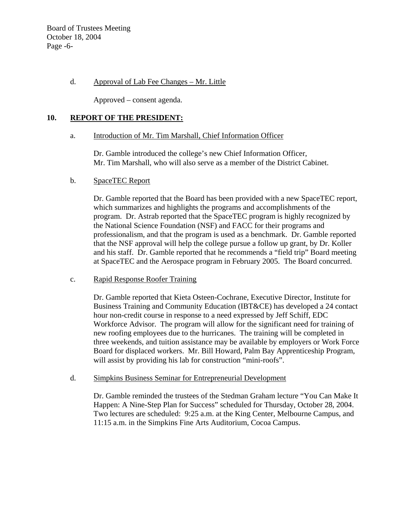Board of Trustees Meeting October 18, 2004 Page -6-

### d. Approval of Lab Fee Changes – Mr. Little

Approved – consent agenda.

### **10. REPORT OF THE PRESIDENT:**

### a. Introduction of Mr. Tim Marshall, Chief Information Officer

Dr. Gamble introduced the college's new Chief Information Officer, Mr. Tim Marshall, who will also serve as a member of the District Cabinet.

### b. SpaceTEC Report

Dr. Gamble reported that the Board has been provided with a new SpaceTEC report, which summarizes and highlights the programs and accomplishments of the program. Dr. Astrab reported that the SpaceTEC program is highly recognized by the National Science Foundation (NSF) and FACC for their programs and professionalism, and that the program is used as a benchmark. Dr. Gamble reported that the NSF approval will help the college pursue a follow up grant, by Dr. Koller and his staff. Dr. Gamble reported that he recommends a "field trip" Board meeting at SpaceTEC and the Aerospace program in February 2005. The Board concurred.

### c. Rapid Response Roofer Training

Dr. Gamble reported that Kieta Osteen-Cochrane, Executive Director, Institute for Business Training and Community Education (IBT&CE) has developed a 24 contact hour non-credit course in response to a need expressed by Jeff Schiff, EDC Workforce Advisor. The program will allow for the significant need for training of new roofing employees due to the hurricanes. The training will be completed in three weekends, and tuition assistance may be available by employers or Work Force Board for displaced workers. Mr. Bill Howard, Palm Bay Apprenticeship Program, will assist by providing his lab for construction "mini-roofs".

### d. Simpkins Business Seminar for Entrepreneurial Development

Dr. Gamble reminded the trustees of the Stedman Graham lecture "You Can Make It Happen: A Nine-Step Plan for Success" scheduled for Thursday, October 28, 2004. Two lectures are scheduled: 9:25 a.m. at the King Center, Melbourne Campus, and 11:15 a.m. in the Simpkins Fine Arts Auditorium, Cocoa Campus.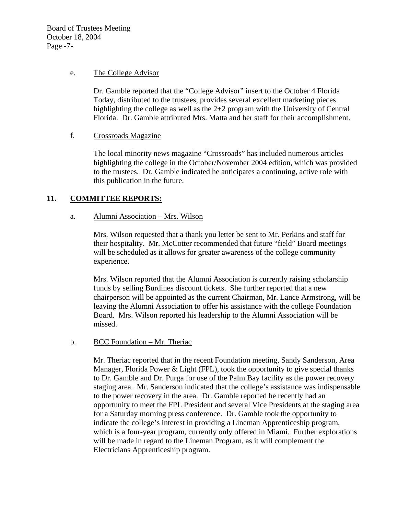Board of Trustees Meeting October 18, 2004 Page -7-

#### e. The College Advisor

Dr. Gamble reported that the "College Advisor" insert to the October 4 Florida Today, distributed to the trustees, provides several excellent marketing pieces highlighting the college as well as the 2+2 program with the University of Central Florida. Dr. Gamble attributed Mrs. Matta and her staff for their accomplishment.

f. Crossroads Magazine

The local minority news magazine "Crossroads" has included numerous articles highlighting the college in the October/November 2004 edition, which was provided to the trustees. Dr. Gamble indicated he anticipates a continuing, active role with this publication in the future.

# **11. COMMITTEE REPORTS:**

### a. Alumni Association – Mrs. Wilson

Mrs. Wilson requested that a thank you letter be sent to Mr. Perkins and staff for their hospitality. Mr. McCotter recommended that future "field" Board meetings will be scheduled as it allows for greater awareness of the college community experience.

Mrs. Wilson reported that the Alumni Association is currently raising scholarship funds by selling Burdines discount tickets. She further reported that a new chairperson will be appointed as the current Chairman, Mr. Lance Armstrong, will be leaving the Alumni Association to offer his assistance with the college Foundation Board. Mrs. Wilson reported his leadership to the Alumni Association will be missed.

### b. BCC Foundation – Mr. Theriac

Mr. Theriac reported that in the recent Foundation meeting, Sandy Sanderson, Area Manager, Florida Power & Light (FPL), took the opportunity to give special thanks to Dr. Gamble and Dr. Purga for use of the Palm Bay facility as the power recovery staging area. Mr. Sanderson indicated that the college's assistance was indispensable to the power recovery in the area. Dr. Gamble reported he recently had an opportunity to meet the FPL President and several Vice Presidents at the staging area for a Saturday morning press conference. Dr. Gamble took the opportunity to indicate the college's interest in providing a Lineman Apprenticeship program, which is a four-year program, currently only offered in Miami. Further explorations will be made in regard to the Lineman Program, as it will complement the Electricians Apprenticeship program.